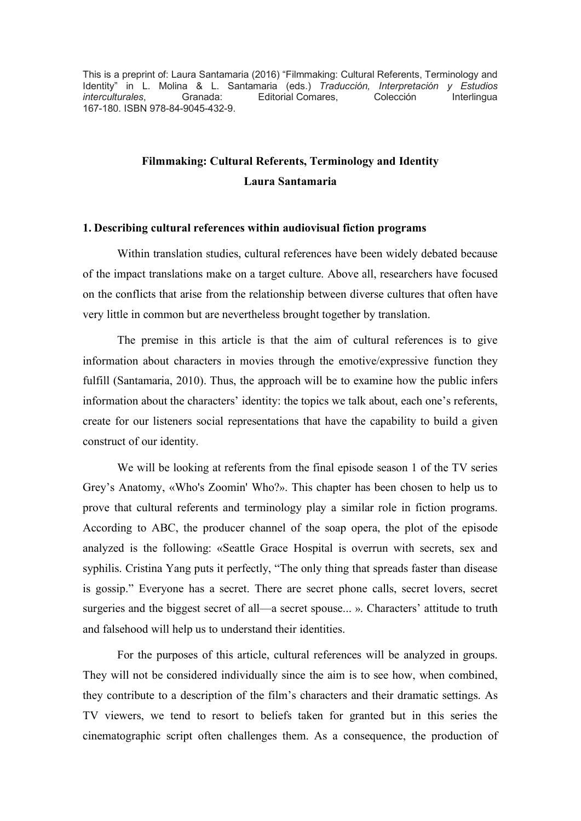This is a preprint of: Laura Santamaria (2016) "Filmmaking: Cultural Referents, Terminology and Identity" in L. Molina & L. Santamaria (eds.) *Traducción, Interpretación y Estudios interculturales*, Granada: Editorial Comares, Colección Interlingua 167-180. ISBN 978-84-9045-432-9.

# **Filmmaking: Cultural Referents, Terminology and Identity Laura Santamaria**

#### **1. Describing cultural references within audiovisual fiction programs**

Within translation studies, cultural references have been widely debated because of the impact translations make on a target culture. Above all, researchers have focused on the conflicts that arise from the relationship between diverse cultures that often have very little in common but are nevertheless brought together by translation.

The premise in this article is that the aim of cultural references is to give information about characters in movies through the emotive/expressive function they fulfill (Santamaria, 2010). Thus, the approach will be to examine how the public infers information about the characters' identity: the topics we talk about, each one's referents, create for our listeners social representations that have the capability to build a given construct of our identity.

We will be looking at referents from the final episode season 1 of the TV series Grey's Anatomy, «Who's Zoomin' Who?». This chapter has been chosen to help us to prove that cultural referents and terminology play a similar role in fiction programs. According to ABC, the producer channel of the soap opera, the plot of the episode analyzed is the following: «Seattle Grace Hospital is overrun with secrets, sex and syphilis. Cristina Yang puts it perfectly, "The only thing that spreads faster than disease is gossip." Everyone has a secret. There are secret phone calls, secret lovers, secret surgeries and the biggest secret of all—a secret spouse... ». Characters' attitude to truth and falsehood will help us to understand their identities.

For the purposes of this article, cultural references will be analyzed in groups. They will not be considered individually since the aim is to see how, when combined, they contribute to a description of the film's characters and their dramatic settings. As TV viewers, we tend to resort to beliefs taken for granted but in this series the cinematographic script often challenges them. As a consequence, the production of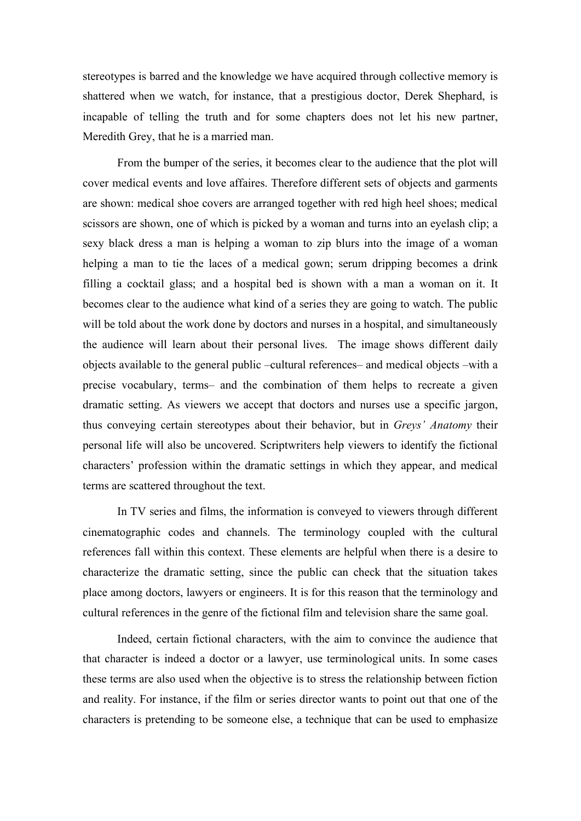stereotypes is barred and the knowledge we have acquired through collective memory is shattered when we watch, for instance, that a prestigious doctor, Derek Shephard, is incapable of telling the truth and for some chapters does not let his new partner, Meredith Grey, that he is a married man.

From the bumper of the series, it becomes clear to the audience that the plot will cover medical events and love affaires. Therefore different sets of objects and garments are shown: medical shoe covers are arranged together with red high heel shoes; medical scissors are shown, one of which is picked by a woman and turns into an eyelash clip; a sexy black dress a man is helping a woman to zip blurs into the image of a woman helping a man to tie the laces of a medical gown; serum dripping becomes a drink filling a cocktail glass; and a hospital bed is shown with a man a woman on it. It becomes clear to the audience what kind of a series they are going to watch. The public will be told about the work done by doctors and nurses in a hospital, and simultaneously the audience will learn about their personal lives. The image shows different daily objects available to the general public –cultural references– and medical objects –with a precise vocabulary, terms– and the combination of them helps to recreate a given dramatic setting. As viewers we accept that doctors and nurses use a specific jargon, thus conveying certain stereotypes about their behavior, but in *Greys' Anatomy* their personal life will also be uncovered. Scriptwriters help viewers to identify the fictional characters' profession within the dramatic settings in which they appear, and medical terms are scattered throughout the text.

In TV series and films, the information is conveyed to viewers through different cinematographic codes and channels. The terminology coupled with the cultural references fall within this context. These elements are helpful when there is a desire to characterize the dramatic setting, since the public can check that the situation takes place among doctors, lawyers or engineers. It is for this reason that the terminology and cultural references in the genre of the fictional film and television share the same goal.

Indeed, certain fictional characters, with the aim to convince the audience that that character is indeed a doctor or a lawyer, use terminological units. In some cases these terms are also used when the objective is to stress the relationship between fiction and reality. For instance, if the film or series director wants to point out that one of the characters is pretending to be someone else, a technique that can be used to emphasize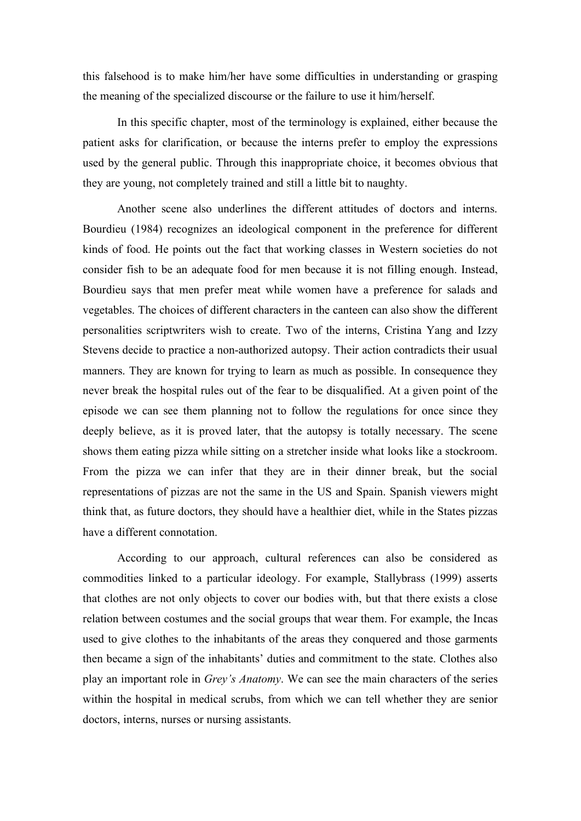this falsehood is to make him/her have some difficulties in understanding or grasping the meaning of the specialized discourse or the failure to use it him/herself.

In this specific chapter, most of the terminology is explained, either because the patient asks for clarification, or because the interns prefer to employ the expressions used by the general public. Through this inappropriate choice, it becomes obvious that they are young, not completely trained and still a little bit to naughty.

Another scene also underlines the different attitudes of doctors and interns. Bourdieu (1984) recognizes an ideological component in the preference for different kinds of food. He points out the fact that working classes in Western societies do not consider fish to be an adequate food for men because it is not filling enough. Instead, Bourdieu says that men prefer meat while women have a preference for salads and vegetables. The choices of different characters in the canteen can also show the different personalities scriptwriters wish to create. Two of the interns, Cristina Yang and Izzy Stevens decide to practice a non-authorized autopsy. Their action contradicts their usual manners. They are known for trying to learn as much as possible. In consequence they never break the hospital rules out of the fear to be disqualified. At a given point of the episode we can see them planning not to follow the regulations for once since they deeply believe, as it is proved later, that the autopsy is totally necessary. The scene shows them eating pizza while sitting on a stretcher inside what looks like a stockroom. From the pizza we can infer that they are in their dinner break, but the social representations of pizzas are not the same in the US and Spain. Spanish viewers might think that, as future doctors, they should have a healthier diet, while in the States pizzas have a different connotation.

According to our approach, cultural references can also be considered as commodities linked to a particular ideology. For example, Stallybrass (1999) asserts that clothes are not only objects to cover our bodies with, but that there exists a close relation between costumes and the social groups that wear them. For example, the Incas used to give clothes to the inhabitants of the areas they conquered and those garments then became a sign of the inhabitants' duties and commitment to the state. Clothes also play an important role in *Grey's Anatomy*. We can see the main characters of the series within the hospital in medical scrubs, from which we can tell whether they are senior doctors, interns, nurses or nursing assistants.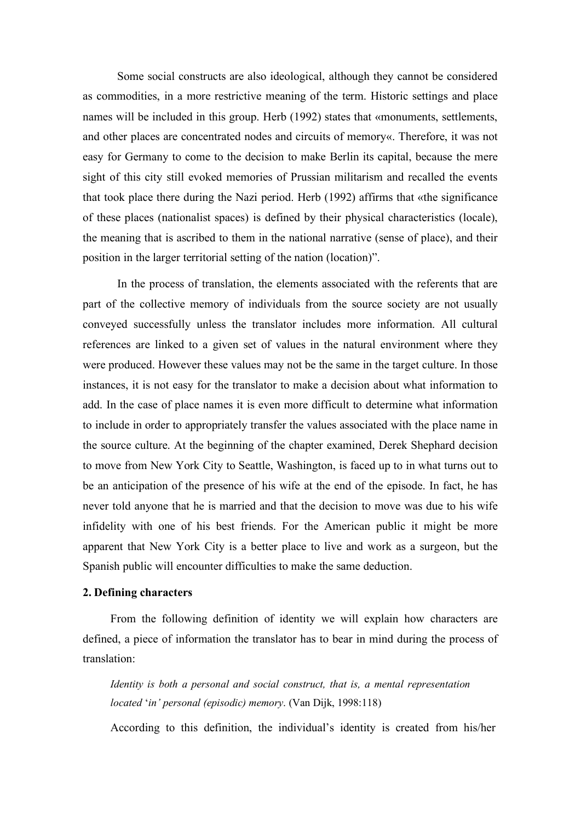Some social constructs are also ideological, although they cannot be considered as commodities, in a more restrictive meaning of the term. Historic settings and place names will be included in this group. Herb (1992) states that «monuments, settlements, and other places are concentrated nodes and circuits of memory«. Therefore, it was not easy for Germany to come to the decision to make Berlin its capital, because the mere sight of this city still evoked memories of Prussian militarism and recalled the events that took place there during the Nazi period. Herb (1992) affirms that «the significance of these places (nationalist spaces) is defined by their physical characteristics (locale), the meaning that is ascribed to them in the national narrative (sense of place), and their position in the larger territorial setting of the nation (location)".

In the process of translation, the elements associated with the referents that are part of the collective memory of individuals from the source society are not usually conveyed successfully unless the translator includes more information. All cultural references are linked to a given set of values in the natural environment where they were produced. However these values may not be the same in the target culture. In those instances, it is not easy for the translator to make a decision about what information to add. In the case of place names it is even more difficult to determine what information to include in order to appropriately transfer the values associated with the place name in the source culture. At the beginning of the chapter examined, Derek Shephard decision to move from New York City to Seattle, Washington, is faced up to in what turns out to be an anticipation of the presence of his wife at the end of the episode. In fact, he has never told anyone that he is married and that the decision to move was due to his wife infidelity with one of his best friends. For the American public it might be more apparent that New York City is a better place to live and work as a surgeon, but the Spanish public will encounter difficulties to make the same deduction.

#### **2. Defining characters**

From the following definition of identity we will explain how characters are defined, a piece of information the translator has to bear in mind during the process of translation:

*Identity is both a personal and social construct, that is, a mental representation located* '*in' personal (episodic) memory*. (Van Dijk, 1998:118)

According to this definition, the individual's identity is created from his/her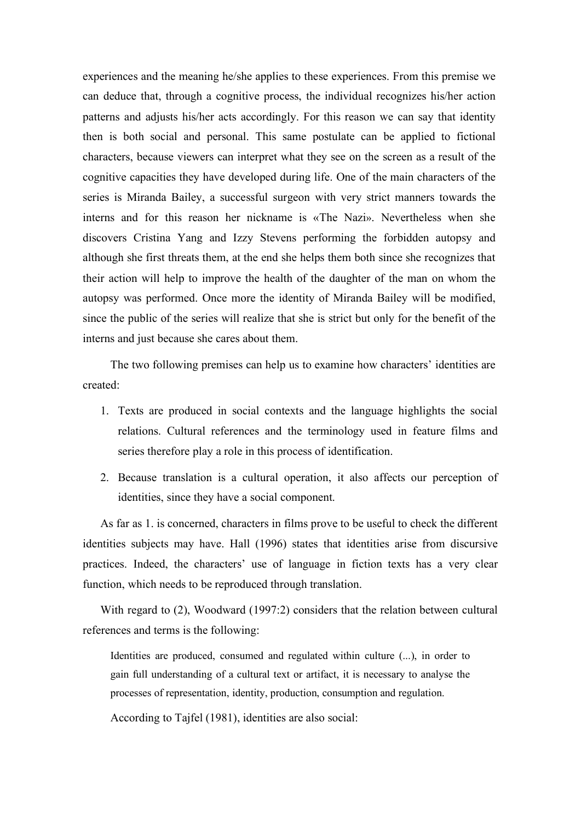experiences and the meaning he/she applies to these experiences. From this premise we can deduce that, through a cognitive process, the individual recognizes his/her action patterns and adjusts his/her acts accordingly. For this reason we can say that identity then is both social and personal. This same postulate can be applied to fictional characters, because viewers can interpret what they see on the screen as a result of the cognitive capacities they have developed during life. One of the main characters of the series is Miranda Bailey, a successful surgeon with very strict manners towards the interns and for this reason her nickname is «The Nazi». Nevertheless when she discovers Cristina Yang and Izzy Stevens performing the forbidden autopsy and although she first threats them, at the end she helps them both since she recognizes that their action will help to improve the health of the daughter of the man on whom the autopsy was performed. Once more the identity of Miranda Bailey will be modified, since the public of the series will realize that she is strict but only for the benefit of the interns and just because she cares about them.

The two following premises can help us to examine how characters' identities are created:

- 1. Texts are produced in social contexts and the language highlights the social relations. Cultural references and the terminology used in feature films and series therefore play a role in this process of identification.
- 2. Because translation is a cultural operation, it also affects our perception of identities, since they have a social component.

As far as 1. is concerned, characters in films prove to be useful to check the different identities subjects may have. Hall (1996) states that identities arise from discursive practices. Indeed, the characters' use of language in fiction texts has a very clear function, which needs to be reproduced through translation.

With regard to (2), Woodward (1997:2) considers that the relation between cultural references and terms is the following:

Identities are produced, consumed and regulated within culture (...), in order to gain full understanding of a cultural text or artifact, it is necessary to analyse the processes of representation, identity, production, consumption and regulation.

According to Tajfel (1981), identities are also social: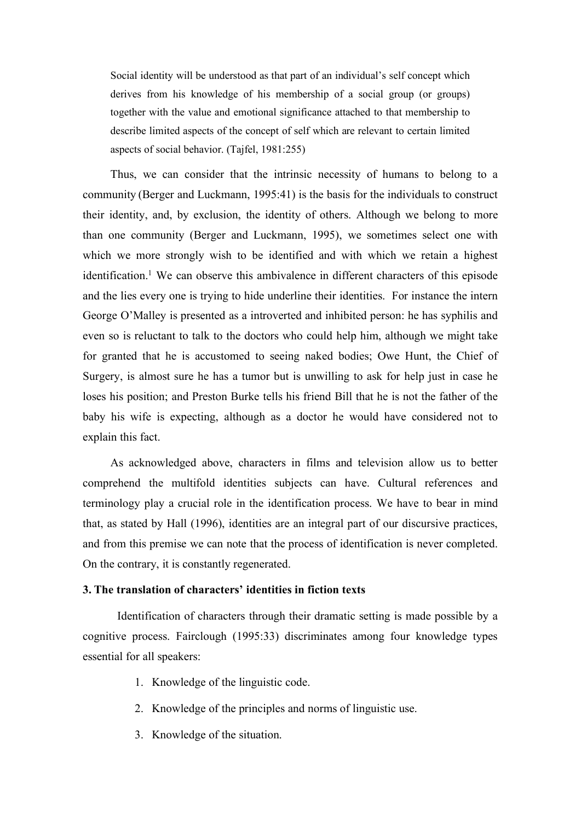Social identity will be understood as that part of an individual's self concept which derives from his knowledge of his membership of a social group (or groups) together with the value and emotional significance attached to that membership to describe limited aspects of the concept of self which are relevant to certain limited aspects of social behavior. (Tajfel, 1981:255)

Thus, we can consider that the intrinsic necessity of humans to belong to a community (Berger and Luckmann, 1995:41) is the basis for the individuals to construct their identity, and, by exclusion, the identity of others. Although we belong to more than one community (Berger and Luckmann, 1995), we sometimes select one with which we more strongly wish to be identified and with which we retain a highest identification.<sup>1</sup> We can observe this ambivalence in different characters of this episode and the lies every one is trying to hide underline their identities. For instance the intern George O'Malley is presented as a introverted and inhibited person: he has syphilis and even so is reluctant to talk to the doctors who could help him, although we might take for granted that he is accustomed to seeing naked bodies; Owe Hunt, the Chief of Surgery, is almost sure he has a tumor but is unwilling to ask for help just in case he loses his position; and Preston Burke tells his friend Bill that he is not the father of the baby his wife is expecting, although as a doctor he would have considered not to explain this fact.

As acknowledged above, characters in films and television allow us to better comprehend the multifold identities subjects can have. Cultural references and terminology play a crucial role in the identification process. We have to bear in mind that, as stated by Hall (1996), identities are an integral part of our discursive practices, and from this premise we can note that the process of identification is never completed. On the contrary, it is constantly regenerated.

#### **3. The translation of characters' identities in fiction texts**

Identification of characters through their dramatic setting is made possible by a cognitive process. Fairclough (1995:33) discriminates among four knowledge types essential for all speakers:

- 1. Knowledge of the linguistic code.
- 2. Knowledge of the principles and norms of linguistic use.
- 3. Knowledge of the situation.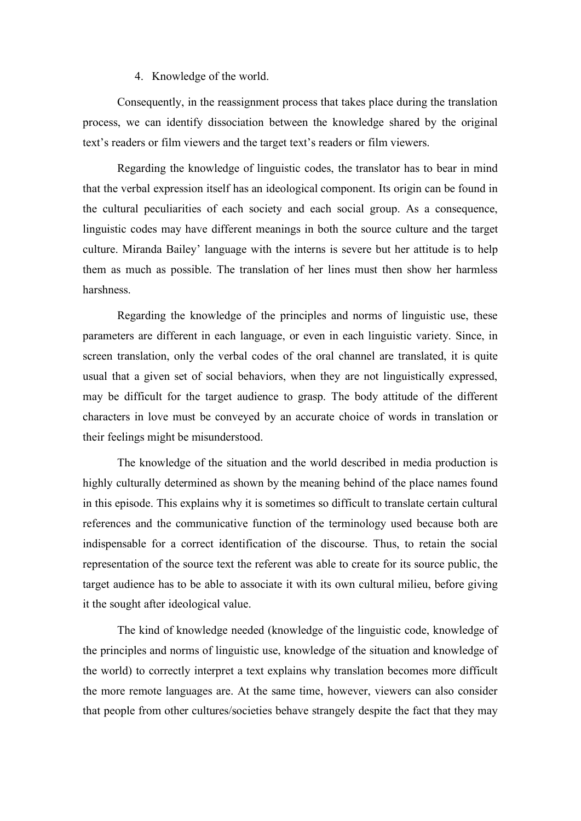4. Knowledge of the world.

Consequently, in the reassignment process that takes place during the translation process, we can identify dissociation between the knowledge shared by the original text's readers or film viewers and the target text's readers or film viewers.

Regarding the knowledge of linguistic codes, the translator has to bear in mind that the verbal expression itself has an ideological component. Its origin can be found in the cultural peculiarities of each society and each social group. As a consequence, linguistic codes may have different meanings in both the source culture and the target culture. Miranda Bailey' language with the interns is severe but her attitude is to help them as much as possible. The translation of her lines must then show her harmless harshness.

Regarding the knowledge of the principles and norms of linguistic use, these parameters are different in each language, or even in each linguistic variety. Since, in screen translation, only the verbal codes of the oral channel are translated, it is quite usual that a given set of social behaviors, when they are not linguistically expressed, may be difficult for the target audience to grasp. The body attitude of the different characters in love must be conveyed by an accurate choice of words in translation or their feelings might be misunderstood.

The knowledge of the situation and the world described in media production is highly culturally determined as shown by the meaning behind of the place names found in this episode. This explains why it is sometimes so difficult to translate certain cultural references and the communicative function of the terminology used because both are indispensable for a correct identification of the discourse. Thus, to retain the social representation of the source text the referent was able to create for its source public, the target audience has to be able to associate it with its own cultural milieu, before giving it the sought after ideological value.

The kind of knowledge needed (knowledge of the linguistic code, knowledge of the principles and norms of linguistic use, knowledge of the situation and knowledge of the world) to correctly interpret a text explains why translation becomes more difficult the more remote languages are. At the same time, however, viewers can also consider that people from other cultures/societies behave strangely despite the fact that they may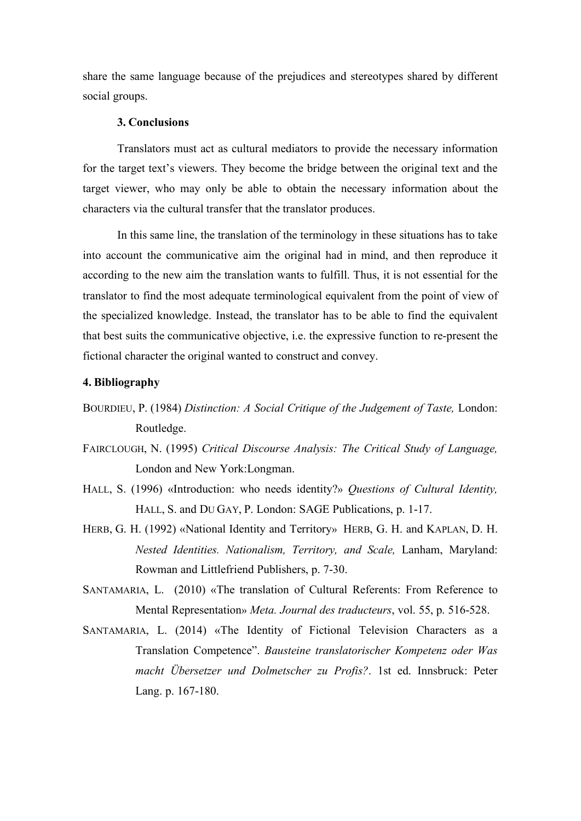share the same language because of the prejudices and stereotypes shared by different social groups.

### **3. Conclusions**

Translators must act as cultural mediators to provide the necessary information for the target text's viewers. They become the bridge between the original text and the target viewer, who may only be able to obtain the necessary information about the characters via the cultural transfer that the translator produces.

In this same line, the translation of the terminology in these situations has to take into account the communicative aim the original had in mind, and then reproduce it according to the new aim the translation wants to fulfill. Thus, it is not essential for the translator to find the most adequate terminological equivalent from the point of view of the specialized knowledge. Instead, the translator has to be able to find the equivalent that best suits the communicative objective, i.e. the expressive function to re-present the fictional character the original wanted to construct and convey.

## **4. Bibliography**

- BOURDIEU, P. (1984) *Distinction: A Social Critique of the Judgement of Taste*, London: Routledge.
- FAIRCLOUGH, N. (1995) *Critical Discourse Analysis: The Critical Study of Language,*  London and New York:Longman.
- HALL, S. (1996) «Introduction: who needs identity?» *Questions of Cultural Identity,*  HALL, S. and DU GAY, P. London: SAGE Publications, p. 1-17.
- HERB, G. H. (1992) «National Identity and Territory» HERB, G. H. and KAPLAN, D. H. *Nested Identities. Nationalism, Territory, and Scale,* Lanham, Maryland: Rowman and Littlefriend Publishers, p. 7-30.
- SANTAMARIA, L. (2010) «The translation of Cultural Referents: From Reference to Mental Representation» *Meta. Journal des traducteurs*, vol. 55, p. 516-528.
- SANTAMARIA, L. (2014) «The Identity of Fictional Television Characters as a Translation Competence". *Bausteine translatorischer Kompetenz oder Was macht Übersetzer und Dolmetscher zu Profis?*. 1st ed. Innsbruck: Peter Lang. p. 167-180.